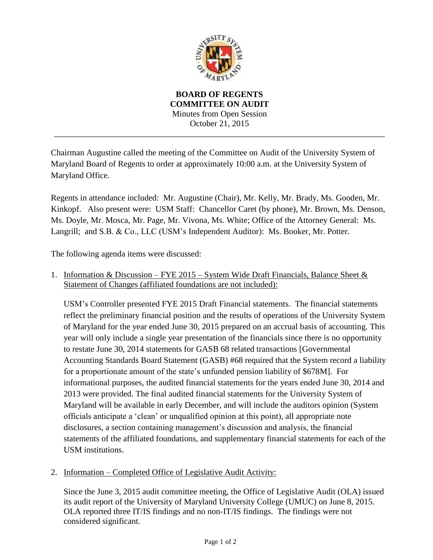

**BOARD OF REGENTS COMMITTEE ON AUDIT** Minutes from Open Session October 21, 2015 \_\_\_\_\_\_\_\_\_\_\_\_\_\_\_\_\_\_\_\_\_\_\_\_\_\_\_\_\_\_\_\_\_\_\_\_\_\_\_\_\_\_\_\_\_\_\_\_\_\_\_\_\_\_\_\_\_\_\_\_\_\_\_\_\_\_\_\_\_\_\_\_\_\_\_\_\_\_

Chairman Augustine called the meeting of the Committee on Audit of the University System of Maryland Board of Regents to order at approximately 10:00 a.m. at the University System of Maryland Office.

Regents in attendance included:Mr. Augustine (Chair), Mr. Kelly, Mr. Brady, Ms. Gooden, Mr. Kinkopf. Also present were: USM Staff: Chancellor Caret (by phone), Mr. Brown, Ms. Denson, Ms. Doyle, Mr. Mosca, Mr. Page, Mr. Vivona, Ms. White; Office of the Attorney General: Ms. Langrill; and S.B. & Co., LLC (USM's Independent Auditor): Ms. Booker, Mr. Potter.

The following agenda items were discussed:

1. Information & Discussion – FYE 2015 – System Wide Draft Financials, Balance Sheet & Statement of Changes (affiliated foundations are not included):

USM's Controller presented FYE 2015 Draft Financial statements. The financial statements reflect the preliminary financial position and the results of operations of the University System of Maryland for the year ended June 30, 2015 prepared on an accrual basis of accounting. This year will only include a single year presentation of the financials since there is no opportunity to restate June 30, 2014 statements for GASB 68 related transactions [Governmental Accounting Standards Board Statement (GASB) #68 required that the System record a liability for a proportionate amount of the state's unfunded pension liability of \$678M]. For informational purposes, the audited financial statements for the years ended June 30, 2014 and 2013 were provided. The final audited financial statements for the University System of Maryland will be available in early December, and will include the auditors opinion (System officials anticipate a 'clean' or unqualified opinion at this point), all appropriate note disclosures, a section containing management's discussion and analysis, the financial statements of the affiliated foundations, and supplementary financial statements for each of the USM institutions.

2. Information – Completed Office of Legislative Audit Activity:

Since the June 3, 2015 audit committee meeting, the Office of Legislative Audit (OLA) issued its audit report of the University of Maryland University College (UMUC) on June 8, 2015. OLA reported three IT/IS findings and no non-IT/IS findings. The findings were not considered significant.